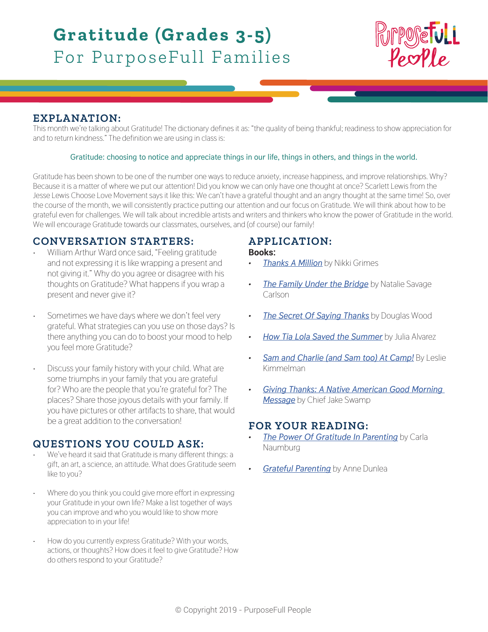# **Gratitude (Grades 3-5)** For PurposeFull Families



## **EXPLANATION:**

This month we're talking about Gratitude! The dictionary defines it as: "the quality of being thankful; readiness to show appreciation for and to return kindness." The definition we are using in class is:

### **Gratitude: choosing to notice and appreciate things in our life, things in others, and things in the world.**

Gratitude has been shown to be one of the number one ways to reduce anxiety, increase happiness, and improve relationships. Why? Because it is a matter of where we put our attention! Did you know we can only have one thought at once? Scarlett Lewis from the Jesse Lewis Choose Love Movement says it like this: We can't have a grateful thought and an angry thought at the same time! So, over the course of the month, we will consistently practice putting our attention and our focus on Gratitude. We will think about how to be grateful even for challenges. We will talk about incredible artists and writers and thinkers who know the power of Gratitude in the world. We will encourage Gratitude towards our classmates, ourselves, and (of course) our family!

## **CONVERSATION STARTERS:**

- William Arthur Ward once said, "Feeling gratitude and not expressing it is like wrapping a present and not giving it." Why do you agree or disagree with his thoughts on Gratitude? What happens if you wrap a present and never give it?
- Sometimes we have days where we don't feel very grateful. What strategies can you use on those days? Is there anything you can do to boost your mood to help you feel more Gratitude?
- Discuss your family history with your child. What are some triumphs in your family that you are grateful for? Who are the people that you're grateful for? The places? Share those joyous details with your family. If you have pictures or other artifacts to share, that would be a great addition to the conversation!

## **QUESTIONS YOU COULD ASK:**

- We've heard it said that Gratitude is many different things: a gift, an art, a science, an attitude. What does Gratitude seem like to you?
- Where do you think you could give more effort in expressing your Gratitude in your own life? Make a list together of ways you can improve and who you would like to show more appreciation to in your life!
- How do you currently express Gratitude? With your words, actions, or thoughts? How does it feel to give Gratitude? How do others respond to your Gratitude?

# **APPLICATION:**

#### **Books:**

- *• [Thanks A Million](https://www.amazon.com/s/ref=nb_sb_ss_i_1_13?url=search-alias%3Dstripbooks&field-keywords=thanks+a+million+by+nikki+grimes&sprefix=thanks+a+mill%2Cstripbooks%2C209&crid=3PKZ76NOP2IGY)* by Nikki Grimes
- *[The Family Under the Bridge](https://www.amazon.com/gp/product/0064402509/ref=as_li_ss_tl?ie=UTF8&linkCode=sl1&tag=doigootog03-20&linkId=191a03b46c57b59af75d5c0b0e571d0c)* by Natalie Savage **Carlson**
- *• [The Secret Of Saying Thanks](https://www.amazon.com/Secret-Saying-Thanks-Douglas-Wood/dp/0689854102/ref=sr_1_1?ie=UTF8&qid=1549244580&sr=8-1&keywords=the+secret+of+saying+thanks)* by Douglas Wood
- *• [How Tia Lola Saved the Summer](https://www.amazon.com/How-Lola-Saved-Summer-Stories/dp/0375866876/ref=as_li_ss_tl?ie=UTF8&linkCode=sl1&tag=wdwdad-20&linkId=ee32b8171399a5daf2f09f2e89ea36d9)* by Julia Alvarez
- *• [Sam and Charlie \(and Sam too\) At Camp!](https://www.amazon.com/Sam-Charlie-Too-Camp-Books-ebook/dp/B00S5OJUA4/ref=as_li_ss_tl?s=books&ie=UTF8&qid=1524842917&sr=1-1&keywords=charlie+and+sam+at+camp&linkCode=sl1&tag=wdwdad-20&linkId=c9d88defc60d1f072d06c27ae2b0366e)* By Leslie Kimmelman
- *• [Giving Thanks: A Native American Good Morning](https://www.amazon.com/Giving-Thanks-American-Morning-Message/dp/1880000547/ref=as_li_ss_tl?ie=UTF8&qid=1476285924&sr=8-1&keywords=Giving+Thanks&linkCode=sl1&tag=kidmonles-20&linkId=550ded01384955d4f0656a5570bb88e3)  [Message](https://www.amazon.com/Giving-Thanks-American-Morning-Message/dp/1880000547/ref=as_li_ss_tl?ie=UTF8&qid=1476285924&sr=8-1&keywords=Giving+Thanks&linkCode=sl1&tag=kidmonles-20&linkId=550ded01384955d4f0656a5570bb88e3)* by Chief Jake Swamp

## **FOR YOUR READING:**

- *[The Power Of Gratitude In Parenting](https://www.mindful.org/the-power-of-gratitude-in-parenting/) by Carla* Naumburg
- *• [Grateful Parenting](https://gratefulness.org/blog/grateful-parenting/)* by Anne Dunlea